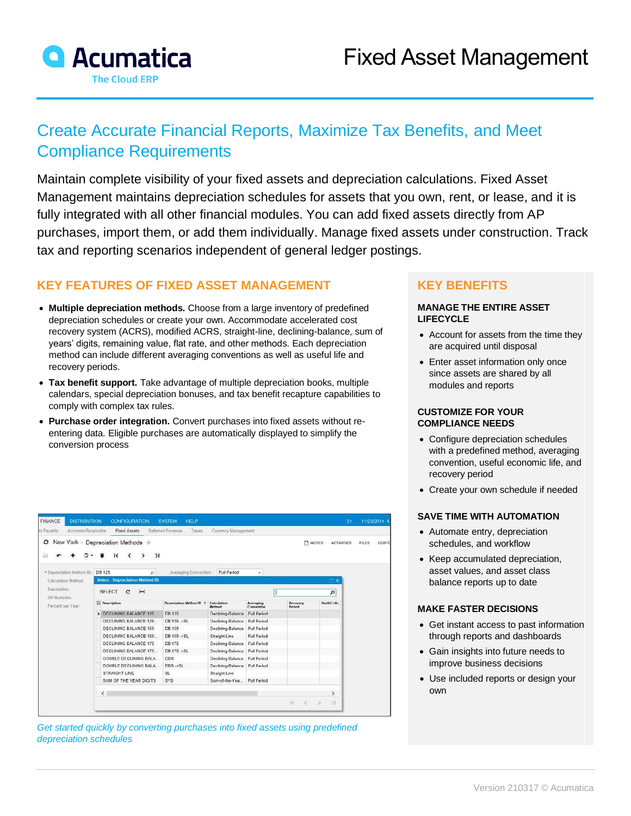

# Create Accurate Financial Reports, Maximize Tax Benefits, and Meet Compliance Requirements

Maintain complete visibility of your fixed assets and depreciation calculations. Fixed Asset Management maintains depreciation schedules for assets that you own, rent, or lease, and it is fully integrated with all other financial modules. You can add fixed assets directly from AP purchases, import them, or add them individually. Manage fixed assets under construction. Track tax and reporting scenarios independent of general ledger postings.

# **KEY FEATURES OF FIXED ASSET MANAGEMENT**

- **Multiple depreciation methods.** Choose from a large inventory of predefined depreciation schedules or create your own. Accommodate accelerated cost recovery system (ACRS), modified ACRS, straight-line, declining-balance, sum of years' digits, remaining value, flat rate, and other methods. Each depreciation method can include different averaging conventions as well as useful life and recovery periods.
- **Tax benefit support.** Take advantage of multiple depreciation books, multiple calendars, special depreciation bonuses, and tax benefit recapture capabilities to comply with complex tax rules.
- **Purchase order integration.** Convert purchases into fixed assets without reentering data. Eligible purchases are automatically displayed to simplify the conversion process

| <b>FINANCE</b><br>ts Payable        | <b>DISTRIBUTION</b><br><b>CONFIGURATION</b><br>Accounts Receivable<br><b>Fixed Assets</b> |                                                                                                                                  | <b>HELP</b><br><b>SYSTEM</b><br>Deferred Revenue<br>Taxes<br>Currency Management |                        |                                |                    | 21                         |              | 11/23/2014 4 |  |
|-------------------------------------|-------------------------------------------------------------------------------------------|----------------------------------------------------------------------------------------------------------------------------------|----------------------------------------------------------------------------------|------------------------|--------------------------------|--------------------|----------------------------|--------------|--------------|--|
| O.<br>9                             |                                                                                           | New York · Depreciation Methods *<br>$\geq$<br>к<br>$\left\langle \right\rangle$                                                 |                                                                                  |                        |                                |                    | NOTES<br><b>ACTIVITIES</b> | <b>FILES</b> | CUSTO        |  |
| Description:                        | * Depreciation Method ID:<br>Calculation Method:                                          | <b>DB 125</b><br>$\mathcal{Q}$<br><b>Select</b> Depreciation Method ID<br>$\left  \bullet \bullet \right $<br><b>SELECT</b><br>c | Averaging Convention:                                                            | Full Period            | W)                             |                    | $\square$ $\times$<br>p    |              |              |  |
| DB Multiplier:<br>Percent per Year: |                                                                                           | <b>Description</b>                                                                                                               | Depreciation Method ID 1                                                         | Calculation<br>Method. | <b>Averaging</b><br>Convention | Recovery<br>Period | Uneful Life.               |              |              |  |
|                                     |                                                                                           | > DECLINING BALANCE 125                                                                                                          | <b>DB 125</b>                                                                    | Declining-Balance      | Full Period                    |                    |                            |              |              |  |
|                                     |                                                                                           | DECLINING BALANCE 125                                                                                                            | DB 125 ->SL                                                                      | Declining-Balance      | Full Period                    |                    |                            |              |              |  |
|                                     |                                                                                           | DECLINING BALANCE 150                                                                                                            | DB 150                                                                           | Declining-Balance      | Full Period                    |                    |                            |              |              |  |
|                                     |                                                                                           | DECLINING BALANCE 150                                                                                                            | DB 150->SL                                                                       | Straight-Line          | Full Period                    |                    |                            |              |              |  |
|                                     |                                                                                           | DECLINING BALANCE 175                                                                                                            | DB 175                                                                           | Declining-Balance      | <b>Full Period</b>             |                    |                            |              |              |  |
|                                     |                                                                                           | DECLINING BALANCE 175.                                                                                                           | DB 175 ->SL                                                                      | Declining-Balance      | <b>Full Period</b>             |                    |                            |              |              |  |
|                                     |                                                                                           | DOUBLE DECLINING BALA.                                                                                                           | <b>DDB</b>                                                                       | Declining-Balance      | <b>Full Period</b>             |                    |                            |              |              |  |
|                                     |                                                                                           | DOUBLE DECLINING BALA.                                                                                                           | DDB->SL                                                                          | Declining-Balance      | Full Period                    |                    |                            |              |              |  |
|                                     |                                                                                           | STRAIGHT LINE                                                                                                                    | SL                                                                               | Straight-Line          |                                |                    |                            |              |              |  |
|                                     |                                                                                           | SUM OF THE YEAR DIGITS                                                                                                           | SYD                                                                              | Sum-of-the-Yea         | <b>Full Period</b>             |                    |                            |              |              |  |
|                                     |                                                                                           | $\langle$                                                                                                                        |                                                                                  |                        |                                |                    | $\rightarrow$              |              |              |  |
|                                     |                                                                                           |                                                                                                                                  |                                                                                  |                        |                                | 1č                 | $\geq 1$<br>$\rightarrow$  |              |              |  |

Get started quickly by converting purchases into fixed assets using predefined *depreciation schedules*

## **KEY BENEFITS**

#### **MANAGE THE ENTIRE ASSET LIFECYCLE**

- Account for assets from the time they are acquired until disposal
- Enter asset information only once since assets are shared by all modules and reports

#### **CUSTOMIZE FOR YOUR COMPLIANCE NEEDS**

- Configure depreciation schedules with a predefined method, averaging convention, useful economic life, and recovery period
- Create your own schedule if needed

#### **SAVE TIME WITH AUTOMATION**

- Automate entry, depreciation schedules, and workflow
- Keep accumulated depreciation, asset values, and asset class balance reports up to date

#### **MAKE FASTER DECISIONS**

- Get instant access to past information through reports and dashboards
- Gain insights into future needs to improve business decisions
- Use included reports or design your own